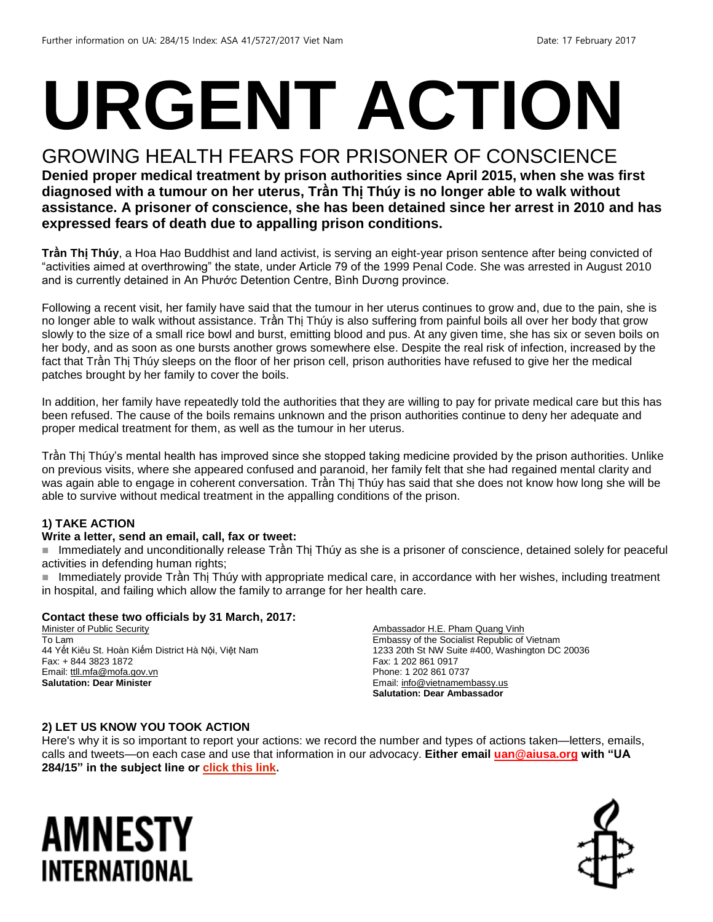# **URGENT ACTION**

## GROWING HEALTH FEARS FOR PRISONER OF CONSCIENCE

**Denied proper medical treatment by prison authorities since April 2015, when she was first diagnosed with a tumour on her uterus, Trần Thị Thúy is no longer able to walk without assistance. A prisoner of conscience, she has been detained since her arrest in 2010 and has expressed fears of death due to appalling prison conditions.**

**Trần Thị Thúy**, a Hoa Hao Buddhist and land activist, is serving an eight-year prison sentence after being convicted of "activities aimed at overthrowing" the state, under Article 79 of the 1999 Penal Code. She was arrested in August 2010 and is currently detained in An Phước Detention Centre, Bình Dương province.

Following a recent visit, her family have said that the tumour in her uterus continues to grow and, due to the pain, she is no longer able to walk without assistance. Trần Thị Thúy is also suffering from painful boils all over her body that grow slowly to the size of a small rice bowl and burst, emitting blood and pus. At any given time, she has six or seven boils on her body, and as soon as one bursts another grows somewhere else. Despite the real risk of infection, increased by the fact that Trần Thị Thúy sleeps on the floor of her prison cell, prison authorities have refused to give her the medical patches brought by her family to cover the boils.

In addition, her family have repeatedly told the authorities that they are willing to pay for private medical care but this has been refused. The cause of the boils remains unknown and the prison authorities continue to deny her adequate and proper medical treatment for them, as well as the tumour in her uterus.

Trần Thị Thúy's mental health has improved since she stopped taking medicine provided by the prison authorities. Unlike on previous visits, where she appeared confused and paranoid, her family felt that she had regained mental clarity and was again able to engage in coherent conversation. Trần Thị Thúy has said that she does not know how long she will be able to survive without medical treatment in the appalling conditions of the prison.

#### **1) TAKE ACTION**

#### **Write a letter, send an email, call, fax or tweet:**

■ Immediately and unconditionally release Trần Thị Thúy as she is a prisoner of conscience, detained solely for peaceful activities in defending human rights;

 Immediately provide Trần Thị Thúy with appropriate medical care, in accordance with her wishes, including treatment in hospital, and failing which allow the family to arrange for her health care.

#### **Contact these two officials by 31 March, 2017:**

Minister of Public Security To Lam 44 Yết Kiêu St. Hoàn Kiếm District Hà Nội, Việt Nam Fax: + 844 3823 1872 Email[: ttll.mfa@mofa.gov.vn](mailto:ttll.mfa@mofa.gov.vn) **Salutation: Dear Minister**

Ambassador H.E. Pham Quang Vinh Embassy of the Socialist Republic of Vietnam 1233 20th St NW Suite #400, Washington DC 20036 Fax: 1 202 861 0917 Phone: 1 202 861 0737 Email[: info@vietnamembassy.us](mailto:info@vietnamembassy.us) **Salutation: Dear Ambassador**

#### **2) LET US KNOW YOU TOOK ACTION**

Here's why it is so important to report your actions: we record the number and types of actions taken—letters, emails, calls and tweets—on each case and use that information in our advocacy. **Either email [uan@aiusa.org](mailto:uan@aiusa.org?subject=UA%20284/15) with "UA 284/15" in the subject line or [click this link.](https://www.surveymonkey.com/r/SK6VN7V)**